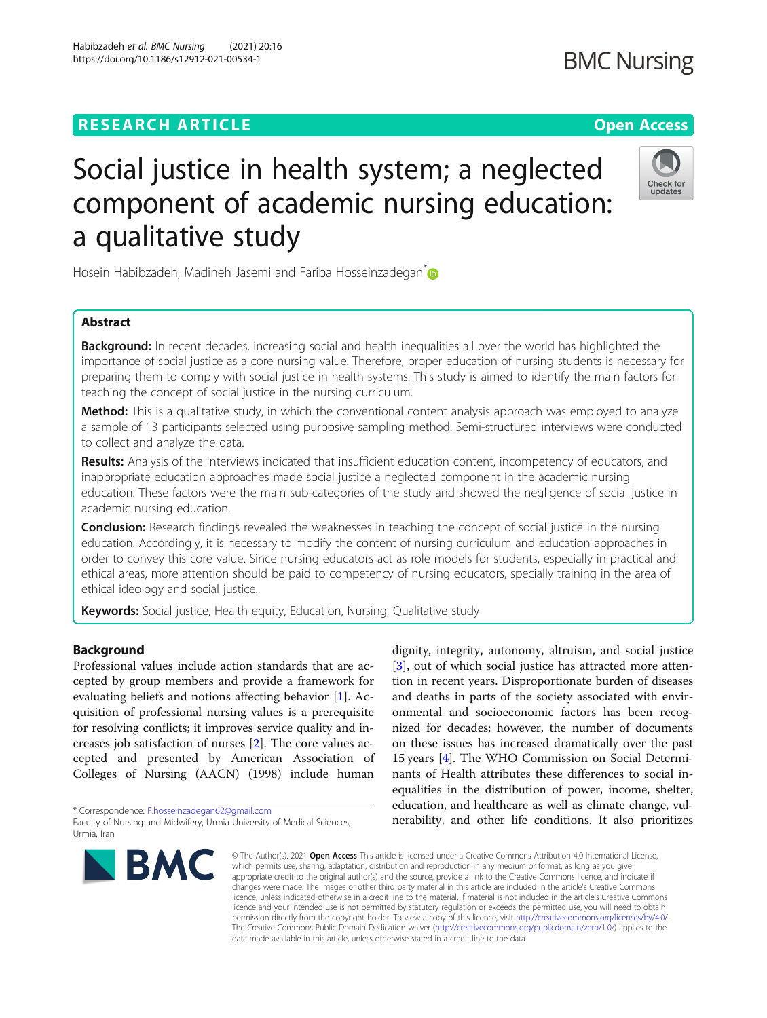# **RESEARCH ARTICLE Example 2014 CONSIDERING A RESEARCH ARTICLE**

# Social justice in health system; a neglected component of academic nursing education: a qualitative study

Hosein Habibzadeh, Madineh Jasemi and Fariba Hosseinzadegan<sup>\*</sup>

# Abstract

Background: In recent decades, increasing social and health inequalities all over the world has highlighted the importance of social justice as a core nursing value. Therefore, proper education of nursing students is necessary for preparing them to comply with social justice in health systems. This study is aimed to identify the main factors for teaching the concept of social justice in the nursing curriculum.

Method: This is a qualitative study, in which the conventional content analysis approach was employed to analyze a sample of 13 participants selected using purposive sampling method. Semi-structured interviews were conducted to collect and analyze the data.

Results: Analysis of the interviews indicated that insufficient education content, incompetency of educators, and inappropriate education approaches made social justice a neglected component in the academic nursing education. These factors were the main sub-categories of the study and showed the negligence of social justice in academic nursing education.

**Conclusion:** Research findings revealed the weaknesses in teaching the concept of social justice in the nursing education. Accordingly, it is necessary to modify the content of nursing curriculum and education approaches in order to convey this core value. Since nursing educators act as role models for students, especially in practical and ethical areas, more attention should be paid to competency of nursing educators, specially training in the area of ethical ideology and social justice.

Keywords: Social justice, Health equity, Education, Nursing, Qualitative study

# Background

Professional values include action standards that are accepted by group members and provide a framework for evaluating beliefs and notions affecting behavior [\[1](#page-7-0)]. Acquisition of professional nursing values is a prerequisite for resolving conflicts; it improves service quality and increases job satisfaction of nurses [[2\]](#page-7-0). The core values accepted and presented by American Association of Colleges of Nursing (AACN) (1998) include human

\* Correspondence: [F.hosseinzadegan62@gmail.com](mailto:F.hosseinzadegan62@gmail.com)

dignity, integrity, autonomy, altruism, and social justice [[3\]](#page-7-0), out of which social justice has attracted more attention in recent years. Disproportionate burden of diseases and deaths in parts of the society associated with environmental and socioeconomic factors has been recognized for decades; however, the number of documents on these issues has increased dramatically over the past 15 years [[4\]](#page-7-0). The WHO Commission on Social Determinants of Health attributes these differences to social inequalities in the distribution of power, income, shelter, education, and healthcare as well as climate change, vulnerability, and other life conditions. It also prioritizes

© The Author(s), 2021 **Open Access** This article is licensed under a Creative Commons Attribution 4.0 International License, which permits use, sharing, adaptation, distribution and reproduction in any medium or format, as long as you give appropriate credit to the original author(s) and the source, provide a link to the Creative Commons licence, and indicate if changes were made. The images or other third party material in this article are included in the article's Creative Commons licence, unless indicated otherwise in a credit line to the material. If material is not included in the article's Creative Commons licence and your intended use is not permitted by statutory regulation or exceeds the permitted use, you will need to obtain permission directly from the copyright holder. To view a copy of this licence, visit [http://creativecommons.org/licenses/by/4.0/.](http://creativecommons.org/licenses/by/4.0/) The Creative Commons Public Domain Dedication waiver [\(http://creativecommons.org/publicdomain/zero/1.0/](http://creativecommons.org/publicdomain/zero/1.0/)) applies to the data made available in this article, unless otherwise stated in a credit line to the data.

Habibzadeh et al. BMC Nursing (2021) 20:16 https://doi.org/10.1186/s12912-021-00534-1







Faculty of Nursing and Midwifery, Urmia University of Medical Sciences, Urmia, Iran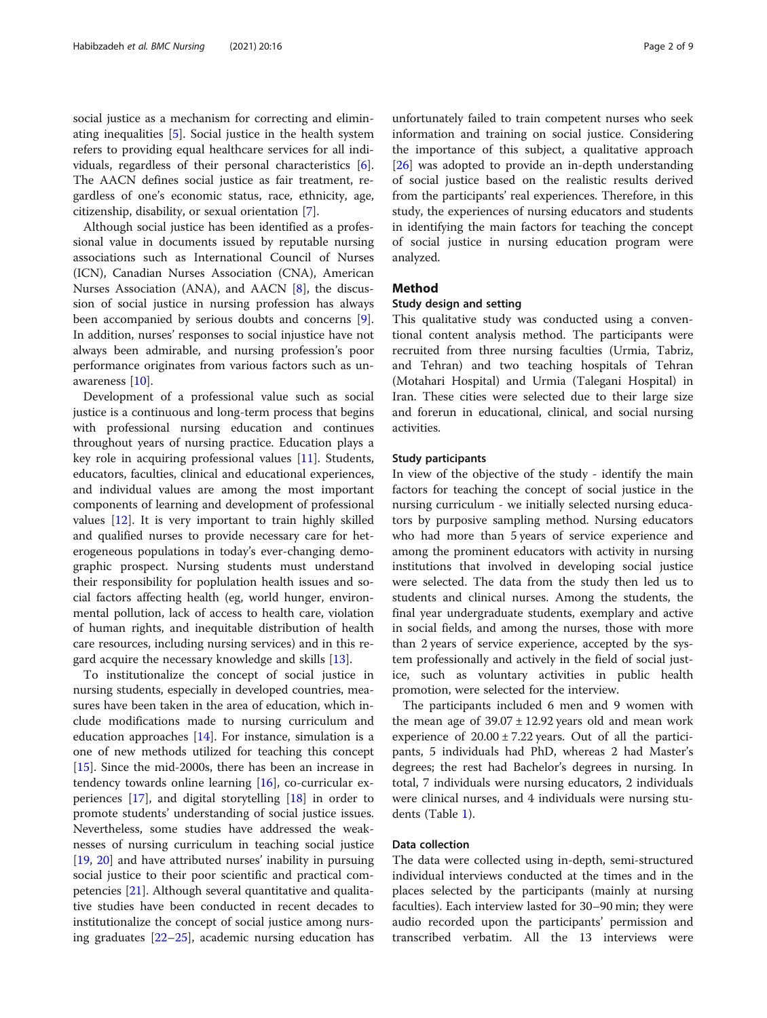social justice as a mechanism for correcting and eliminating inequalities [[5\]](#page-7-0). Social justice in the health system refers to providing equal healthcare services for all individuals, regardless of their personal characteristics [\[6](#page-7-0)]. The AACN defines social justice as fair treatment, regardless of one's economic status, race, ethnicity, age, citizenship, disability, or sexual orientation [[7\]](#page-7-0).

Although social justice has been identified as a professional value in documents issued by reputable nursing associations such as International Council of Nurses (ICN), Canadian Nurses Association (CNA), American Nurses Association (ANA), and AACN [\[8](#page-7-0)], the discussion of social justice in nursing profession has always been accompanied by serious doubts and concerns [\[9](#page-7-0)]. In addition, nurses' responses to social injustice have not always been admirable, and nursing profession's poor performance originates from various factors such as unawareness [[10\]](#page-7-0).

Development of a professional value such as social justice is a continuous and long-term process that begins with professional nursing education and continues throughout years of nursing practice. Education plays a key role in acquiring professional values [[11\]](#page-7-0). Students, educators, faculties, clinical and educational experiences, and individual values are among the most important components of learning and development of professional values [\[12](#page-7-0)]. It is very important to train highly skilled and qualified nurses to provide necessary care for heterogeneous populations in today's ever-changing demographic prospect. Nursing students must understand their responsibility for poplulation health issues and social factors affecting health (eg, world hunger, environmental pollution, lack of access to health care, violation of human rights, and inequitable distribution of health care resources, including nursing services) and in this regard acquire the necessary knowledge and skills [[13](#page-7-0)].

To institutionalize the concept of social justice in nursing students, especially in developed countries, measures have been taken in the area of education, which include modifications made to nursing curriculum and education approaches [\[14](#page-7-0)]. For instance, simulation is a one of new methods utilized for teaching this concept [[15\]](#page-7-0). Since the mid-2000s, there has been an increase in tendency towards online learning [\[16](#page-7-0)], co-curricular experiences [[17\]](#page-7-0), and digital storytelling [\[18](#page-8-0)] in order to promote students' understanding of social justice issues. Nevertheless, some studies have addressed the weaknesses of nursing curriculum in teaching social justice [[19,](#page-8-0) [20\]](#page-8-0) and have attributed nurses' inability in pursuing social justice to their poor scientific and practical competencies [\[21](#page-8-0)]. Although several quantitative and qualitative studies have been conducted in recent decades to institutionalize the concept of social justice among nursing graduates [\[22](#page-8-0)–[25\]](#page-8-0), academic nursing education has

unfortunately failed to train competent nurses who seek information and training on social justice. Considering the importance of this subject, a qualitative approach [[26\]](#page-8-0) was adopted to provide an in-depth understanding of social justice based on the realistic results derived from the participants' real experiences. Therefore, in this study, the experiences of nursing educators and students in identifying the main factors for teaching the concept of social justice in nursing education program were analyzed.

## Method

#### Study design and setting

This qualitative study was conducted using a conventional content analysis method. The participants were recruited from three nursing faculties (Urmia, Tabriz, and Tehran) and two teaching hospitals of Tehran (Motahari Hospital) and Urmia (Talegani Hospital) in Iran. These cities were selected due to their large size and forerun in educational, clinical, and social nursing activities.

#### Study participants

In view of the objective of the study - identify the main factors for teaching the concept of social justice in the nursing curriculum - we initially selected nursing educators by purposive sampling method. Nursing educators who had more than 5 years of service experience and among the prominent educators with activity in nursing institutions that involved in developing social justice were selected. The data from the study then led us to students and clinical nurses. Among the students, the final year undergraduate students, exemplary and active in social fields, and among the nurses, those with more than 2 years of service experience, accepted by the system professionally and actively in the field of social justice, such as voluntary activities in public health promotion, were selected for the interview.

The participants included 6 men and 9 women with the mean age of  $39.07 \pm 12.92$  years old and mean work experience of  $20.00 \pm 7.22$  years. Out of all the participants, 5 individuals had PhD, whereas 2 had Master's degrees; the rest had Bachelor's degrees in nursing. In total, 7 individuals were nursing educators, 2 individuals were clinical nurses, and 4 individuals were nursing students (Table [1\)](#page-2-0).

#### Data collection

The data were collected using in-depth, semi-structured individual interviews conducted at the times and in the places selected by the participants (mainly at nursing faculties). Each interview lasted for 30–90 min; they were audio recorded upon the participants' permission and transcribed verbatim. All the 13 interviews were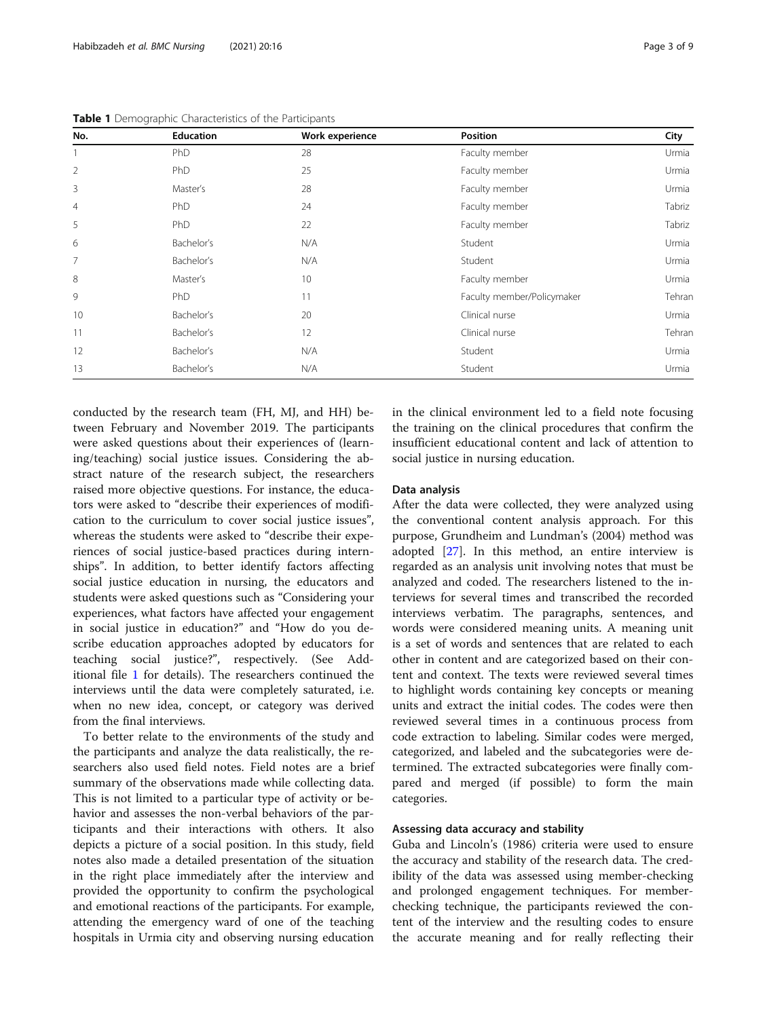| No.            | <b>Education</b> | Work experience | <b>Position</b>            | City   |
|----------------|------------------|-----------------|----------------------------|--------|
|                | <b>PhD</b>       | 28              | Faculty member             | Urmia  |
| $\overline{2}$ | <b>PhD</b>       | 25              | Faculty member             | Urmia  |
| 3              | Master's         | 28              | Faculty member             | Urmia  |
| $\overline{4}$ | <b>PhD</b>       | 24              | Faculty member             | Tabriz |
| 5              | <b>PhD</b>       | 22              | Faculty member             | Tabriz |
| 6              | Bachelor's       | N/A             | Student                    | Urmia  |
| $\overline{7}$ | Bachelor's       | N/A             | Student                    | Urmia  |
| 8              | Master's         | 10              | Faculty member             | Urmia  |
| 9              | Ph <sub>D</sub>  | 11              | Faculty member/Policymaker | Tehran |
| 10             | Bachelor's       | 20              | Clinical nurse             | Urmia  |
| 11             | Bachelor's       | 12              | Clinical nurse             | Tehran |
| 12             | Bachelor's       | N/A             | Student                    | Urmia  |
| 13             | Bachelor's       | N/A             | Student                    | Urmia  |

<span id="page-2-0"></span>Table 1 Demographic Characteristics of the Participants

conducted by the research team (FH, MJ, and HH) between February and November 2019. The participants were asked questions about their experiences of (learning/teaching) social justice issues. Considering the abstract nature of the research subject, the researchers raised more objective questions. For instance, the educators were asked to "describe their experiences of modification to the curriculum to cover social justice issues", whereas the students were asked to "describe their experiences of social justice-based practices during internships". In addition, to better identify factors affecting social justice education in nursing, the educators and students were asked questions such as "Considering your experiences, what factors have affected your engagement in social justice in education?" and "How do you describe education approaches adopted by educators for teaching social justice?", respectively. (See Additional file [1](#page-7-0) for details). The researchers continued the interviews until the data were completely saturated, i.e. when no new idea, concept, or category was derived from the final interviews.

To better relate to the environments of the study and the participants and analyze the data realistically, the researchers also used field notes. Field notes are a brief summary of the observations made while collecting data. This is not limited to a particular type of activity or behavior and assesses the non-verbal behaviors of the participants and their interactions with others. It also depicts a picture of a social position. In this study, field notes also made a detailed presentation of the situation in the right place immediately after the interview and provided the opportunity to confirm the psychological and emotional reactions of the participants. For example, attending the emergency ward of one of the teaching hospitals in Urmia city and observing nursing education

in the clinical environment led to a field note focusing the training on the clinical procedures that confirm the insufficient educational content and lack of attention to social justice in nursing education.

#### Data analysis

After the data were collected, they were analyzed using the conventional content analysis approach. For this purpose, Grundheim and Lundman's (2004) method was adopted [[27](#page-8-0)]. In this method, an entire interview is regarded as an analysis unit involving notes that must be analyzed and coded. The researchers listened to the interviews for several times and transcribed the recorded interviews verbatim. The paragraphs, sentences, and words were considered meaning units. A meaning unit is a set of words and sentences that are related to each other in content and are categorized based on their content and context. The texts were reviewed several times to highlight words containing key concepts or meaning units and extract the initial codes. The codes were then reviewed several times in a continuous process from code extraction to labeling. Similar codes were merged, categorized, and labeled and the subcategories were determined. The extracted subcategories were finally compared and merged (if possible) to form the main categories.

#### Assessing data accuracy and stability

Guba and Lincoln's (1986) criteria were used to ensure the accuracy and stability of the research data. The credibility of the data was assessed using member-checking and prolonged engagement techniques. For memberchecking technique, the participants reviewed the content of the interview and the resulting codes to ensure the accurate meaning and for really reflecting their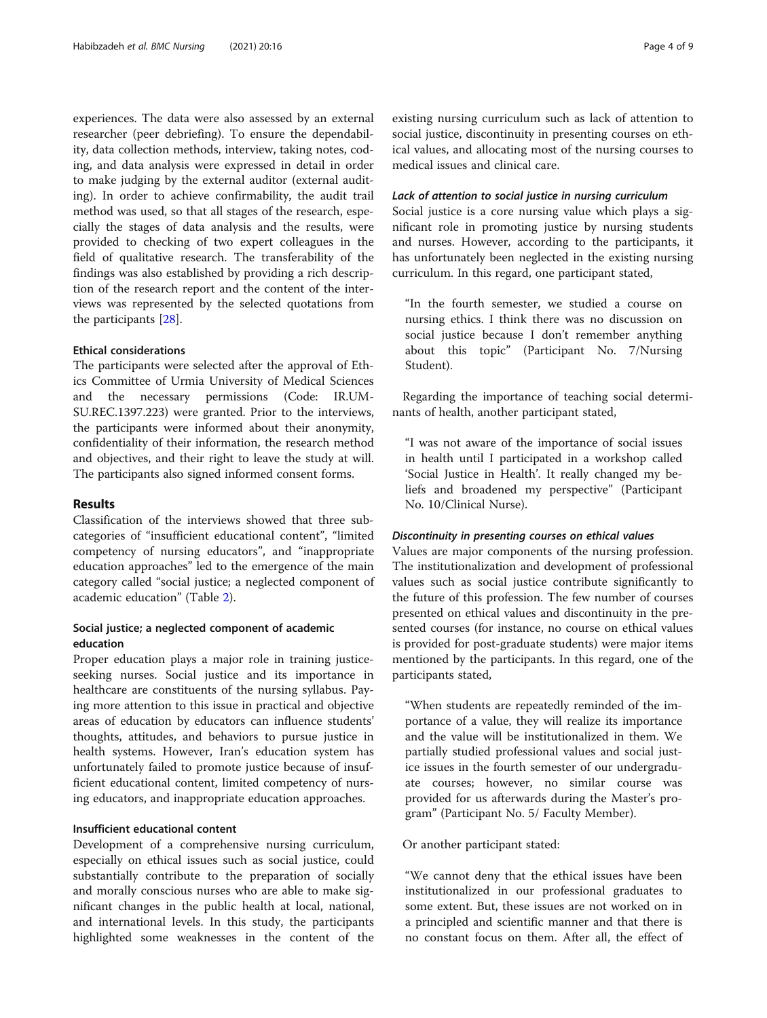experiences. The data were also assessed by an external researcher (peer debriefing). To ensure the dependability, data collection methods, interview, taking notes, coding, and data analysis were expressed in detail in order to make judging by the external auditor (external auditing). In order to achieve confirmability, the audit trail method was used, so that all stages of the research, especially the stages of data analysis and the results, were provided to checking of two expert colleagues in the field of qualitative research. The transferability of the findings was also established by providing a rich description of the research report and the content of the interviews was represented by the selected quotations from the participants [[28](#page-8-0)].

#### Ethical considerations

The participants were selected after the approval of Ethics Committee of Urmia University of Medical Sciences and the necessary permissions (Code: IR.UM-SU.REC.1397.223) were granted. Prior to the interviews, the participants were informed about their anonymity, confidentiality of their information, the research method and objectives, and their right to leave the study at will. The participants also signed informed consent forms.

#### Results

Classification of the interviews showed that three subcategories of "insufficient educational content", "limited competency of nursing educators", and "inappropriate education approaches" led to the emergence of the main category called "social justice; a neglected component of academic education" (Table [2](#page-4-0)).

## Social justice; a neglected component of academic education

Proper education plays a major role in training justiceseeking nurses. Social justice and its importance in healthcare are constituents of the nursing syllabus. Paying more attention to this issue in practical and objective areas of education by educators can influence students' thoughts, attitudes, and behaviors to pursue justice in health systems. However, Iran's education system has unfortunately failed to promote justice because of insufficient educational content, limited competency of nursing educators, and inappropriate education approaches.

#### Insufficient educational content

Development of a comprehensive nursing curriculum, especially on ethical issues such as social justice, could substantially contribute to the preparation of socially and morally conscious nurses who are able to make significant changes in the public health at local, national, and international levels. In this study, the participants highlighted some weaknesses in the content of the existing nursing curriculum such as lack of attention to social justice, discontinuity in presenting courses on ethical values, and allocating most of the nursing courses to medical issues and clinical care.

#### Lack of attention to social justice in nursing curriculum

Social justice is a core nursing value which plays a significant role in promoting justice by nursing students and nurses. However, according to the participants, it has unfortunately been neglected in the existing nursing curriculum. In this regard, one participant stated,

"In the fourth semester, we studied a course on nursing ethics. I think there was no discussion on social justice because I don't remember anything about this topic" (Participant No. 7/Nursing Student).

Regarding the importance of teaching social determinants of health, another participant stated,

"I was not aware of the importance of social issues in health until I participated in a workshop called 'Social Justice in Health'. It really changed my beliefs and broadened my perspective" (Participant No. 10/Clinical Nurse).

#### Discontinuity in presenting courses on ethical values

Values are major components of the nursing profession. The institutionalization and development of professional values such as social justice contribute significantly to the future of this profession. The few number of courses presented on ethical values and discontinuity in the presented courses (for instance, no course on ethical values is provided for post-graduate students) were major items mentioned by the participants. In this regard, one of the participants stated,

"When students are repeatedly reminded of the importance of a value, they will realize its importance and the value will be institutionalized in them. We partially studied professional values and social justice issues in the fourth semester of our undergraduate courses; however, no similar course was provided for us afterwards during the Master's program" (Participant No. 5/ Faculty Member).

#### Or another participant stated:

"We cannot deny that the ethical issues have been institutionalized in our professional graduates to some extent. But, these issues are not worked on in a principled and scientific manner and that there is no constant focus on them. After all, the effect of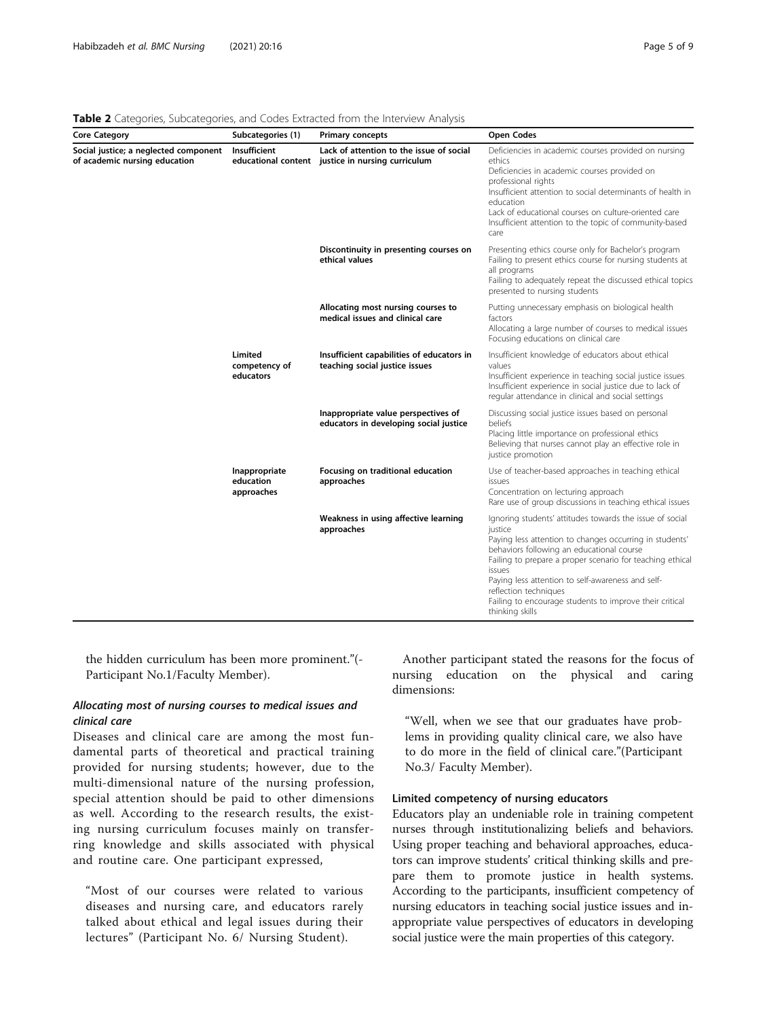| <b>Core Category</b>                                                   | Subcategories (1)                        | <b>Primary concepts</b>                                                                       | <b>Open Codes</b>                                                                                                                                                                                                                                                                                                                                                                                              |
|------------------------------------------------------------------------|------------------------------------------|-----------------------------------------------------------------------------------------------|----------------------------------------------------------------------------------------------------------------------------------------------------------------------------------------------------------------------------------------------------------------------------------------------------------------------------------------------------------------------------------------------------------------|
| Social justice; a neglected component<br>of academic nursing education | Insufficient                             | Lack of attention to the issue of social<br>educational content justice in nursing curriculum | Deficiencies in academic courses provided on nursing<br>ethics<br>Deficiencies in academic courses provided on<br>professional rights<br>Insufficient attention to social determinants of health in<br>education<br>Lack of educational courses on culture-oriented care<br>Insufficient attention to the topic of community-based<br>care                                                                     |
|                                                                        |                                          | Discontinuity in presenting courses on<br>ethical values                                      | Presenting ethics course only for Bachelor's program<br>Failing to present ethics course for nursing students at<br>all programs<br>Failing to adequately repeat the discussed ethical topics<br>presented to nursing students                                                                                                                                                                                 |
|                                                                        |                                          | Allocating most nursing courses to<br>medical issues and clinical care                        | Putting unnecessary emphasis on biological health<br>factors<br>Allocating a large number of courses to medical issues<br>Focusing educations on clinical care                                                                                                                                                                                                                                                 |
|                                                                        | Limited<br>competency of<br>educators    | Insufficient capabilities of educators in<br>teaching social justice issues                   | Insufficient knowledge of educators about ethical<br>values<br>Insufficient experience in teaching social justice issues<br>Insufficient experience in social justice due to lack of<br>regular attendance in clinical and social settings                                                                                                                                                                     |
|                                                                        |                                          | Inappropriate value perspectives of<br>educators in developing social justice                 | Discussing social justice issues based on personal<br>beliefs<br>Placing little importance on professional ethics<br>Believing that nurses cannot play an effective role in<br>justice promotion                                                                                                                                                                                                               |
|                                                                        | Inappropriate<br>education<br>approaches | Focusing on traditional education<br>approaches                                               | Use of teacher-based approaches in teaching ethical<br>issues<br>Concentration on lecturing approach<br>Rare use of group discussions in teaching ethical issues                                                                                                                                                                                                                                               |
|                                                                        |                                          | Weakness in using affective learning<br>approaches                                            | Ignoring students' attitudes towards the issue of social<br>justice<br>Paying less attention to changes occurring in students'<br>behaviors following an educational course<br>Failing to prepare a proper scenario for teaching ethical<br>issues<br>Paying less attention to self-awareness and self-<br>reflection techniques<br>Failing to encourage students to improve their critical<br>thinking skills |

<span id="page-4-0"></span>Table 2 Categories, Subcategories, and Codes Extracted from the Interview Analysis

the hidden curriculum has been more prominent."(- Participant No.1/Faculty Member).

# Allocating most of nursing courses to medical issues and clinical care

Diseases and clinical care are among the most fundamental parts of theoretical and practical training provided for nursing students; however, due to the multi-dimensional nature of the nursing profession, special attention should be paid to other dimensions as well. According to the research results, the existing nursing curriculum focuses mainly on transferring knowledge and skills associated with physical and routine care. One participant expressed,

"Most of our courses were related to various diseases and nursing care, and educators rarely talked about ethical and legal issues during their lectures" (Participant No. 6/ Nursing Student).

Another participant stated the reasons for the focus of nursing education on the physical and caring dimensions:

"Well, when we see that our graduates have problems in providing quality clinical care, we also have to do more in the field of clinical care."(Participant No.3/ Faculty Member).

# Limited competency of nursing educators

Educators play an undeniable role in training competent nurses through institutionalizing beliefs and behaviors. Using proper teaching and behavioral approaches, educators can improve students' critical thinking skills and prepare them to promote justice in health systems. According to the participants, insufficient competency of nursing educators in teaching social justice issues and inappropriate value perspectives of educators in developing social justice were the main properties of this category.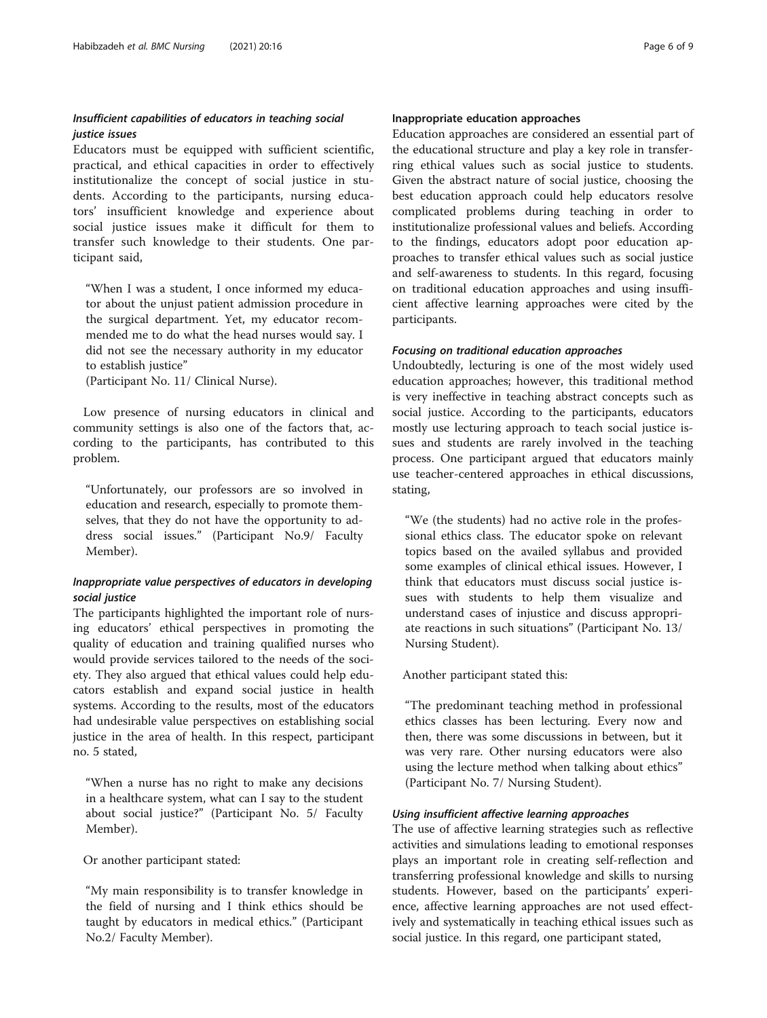# Insufficient capabilities of educators in teaching social justice issues

Educators must be equipped with sufficient scientific, practical, and ethical capacities in order to effectively institutionalize the concept of social justice in students. According to the participants, nursing educators' insufficient knowledge and experience about social justice issues make it difficult for them to transfer such knowledge to their students. One participant said,

"When I was a student, I once informed my educator about the unjust patient admission procedure in the surgical department. Yet, my educator recommended me to do what the head nurses would say. I did not see the necessary authority in my educator to establish justice"

(Participant No. 11/ Clinical Nurse).

Low presence of nursing educators in clinical and community settings is also one of the factors that, according to the participants, has contributed to this problem.

"Unfortunately, our professors are so involved in education and research, especially to promote themselves, that they do not have the opportunity to address social issues." (Participant No.9/ Faculty Member).

# Inappropriate value perspectives of educators in developing social justice

The participants highlighted the important role of nursing educators' ethical perspectives in promoting the quality of education and training qualified nurses who would provide services tailored to the needs of the society. They also argued that ethical values could help educators establish and expand social justice in health systems. According to the results, most of the educators had undesirable value perspectives on establishing social justice in the area of health. In this respect, participant no. 5 stated,

"When a nurse has no right to make any decisions in a healthcare system, what can I say to the student about social justice?" (Participant No. 5/ Faculty Member).

Or another participant stated:

"My main responsibility is to transfer knowledge in the field of nursing and I think ethics should be taught by educators in medical ethics." (Participant No.2/ Faculty Member).

# Inappropriate education approaches

Education approaches are considered an essential part of the educational structure and play a key role in transferring ethical values such as social justice to students. Given the abstract nature of social justice, choosing the best education approach could help educators resolve complicated problems during teaching in order to institutionalize professional values and beliefs. According to the findings, educators adopt poor education approaches to transfer ethical values such as social justice and self-awareness to students. In this regard, focusing on traditional education approaches and using insufficient affective learning approaches were cited by the participants.

### Focusing on traditional education approaches

Undoubtedly, lecturing is one of the most widely used education approaches; however, this traditional method is very ineffective in teaching abstract concepts such as social justice. According to the participants, educators mostly use lecturing approach to teach social justice issues and students are rarely involved in the teaching process. One participant argued that educators mainly use teacher-centered approaches in ethical discussions, stating,

"We (the students) had no active role in the professional ethics class. The educator spoke on relevant topics based on the availed syllabus and provided some examples of clinical ethical issues. However, I think that educators must discuss social justice issues with students to help them visualize and understand cases of injustice and discuss appropriate reactions in such situations" (Participant No. 13/ Nursing Student).

Another participant stated this:

"The predominant teaching method in professional ethics classes has been lecturing. Every now and then, there was some discussions in between, but it was very rare. Other nursing educators were also using the lecture method when talking about ethics" (Participant No. 7/ Nursing Student).

## Using insufficient affective learning approaches

The use of affective learning strategies such as reflective activities and simulations leading to emotional responses plays an important role in creating self-reflection and transferring professional knowledge and skills to nursing students. However, based on the participants' experience, affective learning approaches are not used effectively and systematically in teaching ethical issues such as social justice. In this regard, one participant stated,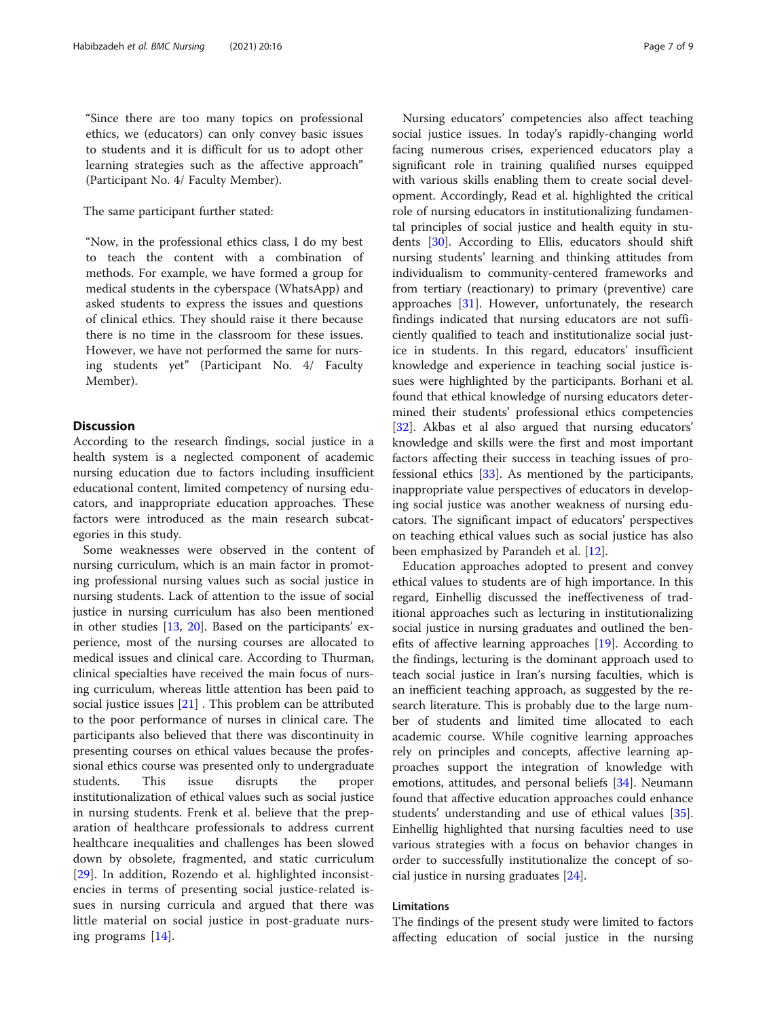"Since there are too many topics on professional ethics, we (educators) can only convey basic issues to students and it is difficult for us to adopt other learning strategies such as the affective approach" (Participant No. 4/ Faculty Member).

The same participant further stated:

"Now, in the professional ethics class, I do my best to teach the content with a combination of methods. For example, we have formed a group for medical students in the cyberspace (WhatsApp) and asked students to express the issues and questions of clinical ethics. They should raise it there because there is no time in the classroom for these issues. However, we have not performed the same for nursing students yet" (Participant No. 4/ Faculty Member).

# **Discussion**

According to the research findings, social justice in a health system is a neglected component of academic nursing education due to factors including insufficient educational content, limited competency of nursing educators, and inappropriate education approaches. These factors were introduced as the main research subcategories in this study.

Some weaknesses were observed in the content of nursing curriculum, which is an main factor in promoting professional nursing values such as social justice in nursing students. Lack of attention to the issue of social justice in nursing curriculum has also been mentioned in other studies [[13,](#page-7-0) [20\]](#page-8-0). Based on the participants' experience, most of the nursing courses are allocated to medical issues and clinical care. According to Thurman, clinical specialties have received the main focus of nursing curriculum, whereas little attention has been paid to social justice issues  $[21]$  $[21]$ . This problem can be attributed to the poor performance of nurses in clinical care. The participants also believed that there was discontinuity in presenting courses on ethical values because the professional ethics course was presented only to undergraduate students. This issue disrupts the proper institutionalization of ethical values such as social justice in nursing students. Frenk et al. believe that the preparation of healthcare professionals to address current healthcare inequalities and challenges has been slowed down by obsolete, fragmented, and static curriculum [[29\]](#page-8-0). In addition, Rozendo et al. highlighted inconsistencies in terms of presenting social justice-related issues in nursing curricula and argued that there was little material on social justice in post-graduate nursing programs [\[14](#page-7-0)].

Nursing educators' competencies also affect teaching social justice issues. In today's rapidly-changing world facing numerous crises, experienced educators play a significant role in training qualified nurses equipped with various skills enabling them to create social development. Accordingly, Read et al. highlighted the critical role of nursing educators in institutionalizing fundamental principles of social justice and health equity in students [[30](#page-8-0)]. According to Ellis, educators should shift nursing students' learning and thinking attitudes from individualism to community-centered frameworks and from tertiary (reactionary) to primary (preventive) care approaches [\[31\]](#page-8-0). However, unfortunately, the research findings indicated that nursing educators are not sufficiently qualified to teach and institutionalize social justice in students. In this regard, educators' insufficient knowledge and experience in teaching social justice issues were highlighted by the participants. Borhani et al. found that ethical knowledge of nursing educators determined their students' professional ethics competencies [[32\]](#page-8-0). Akbas et al also argued that nursing educators' knowledge and skills were the first and most important factors affecting their success in teaching issues of professional ethics [[33\]](#page-8-0). As mentioned by the participants, inappropriate value perspectives of educators in developing social justice was another weakness of nursing educators. The significant impact of educators' perspectives on teaching ethical values such as social justice has also been emphasized by Parandeh et al. [\[12\]](#page-7-0).

Education approaches adopted to present and convey ethical values to students are of high importance. In this regard, Einhellig discussed the ineffectiveness of traditional approaches such as lecturing in institutionalizing social justice in nursing graduates and outlined the benefits of affective learning approaches [[19\]](#page-8-0). According to the findings, lecturing is the dominant approach used to teach social justice in Iran's nursing faculties, which is an inefficient teaching approach, as suggested by the research literature. This is probably due to the large number of students and limited time allocated to each academic course. While cognitive learning approaches rely on principles and concepts, affective learning approaches support the integration of knowledge with emotions, attitudes, and personal beliefs [\[34\]](#page-8-0). Neumann found that affective education approaches could enhance students' understanding and use of ethical values [\[35](#page-8-0)]. Einhellig highlighted that nursing faculties need to use various strategies with a focus on behavior changes in order to successfully institutionalize the concept of social justice in nursing graduates [[24](#page-8-0)].

# Limitations

The findings of the present study were limited to factors affecting education of social justice in the nursing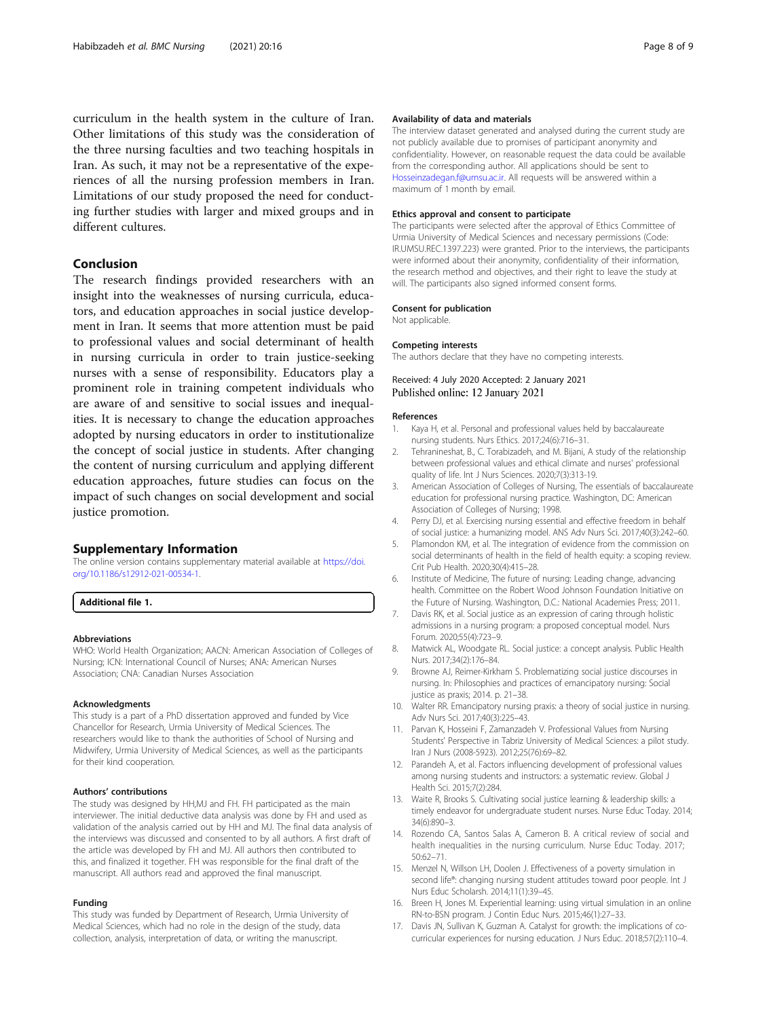<span id="page-7-0"></span>curriculum in the health system in the culture of Iran. Other limitations of this study was the consideration of the three nursing faculties and two teaching hospitals in Iran. As such, it may not be a representative of the experiences of all the nursing profession members in Iran. Limitations of our study proposed the need for conducting further studies with larger and mixed groups and in different cultures.

## Conclusion

The research findings provided researchers with an insight into the weaknesses of nursing curricula, educators, and education approaches in social justice development in Iran. It seems that more attention must be paid to professional values and social determinant of health in nursing curricula in order to train justice-seeking nurses with a sense of responsibility. Educators play a prominent role in training competent individuals who are aware of and sensitive to social issues and inequalities. It is necessary to change the education approaches adopted by nursing educators in order to institutionalize the concept of social justice in students. After changing the content of nursing curriculum and applying different education approaches, future studies can focus on the impact of such changes on social development and social justice promotion.

#### Supplementary Information

The online version contains supplementary material available at [https://doi.](https://doi.org/10.1186/s12912-021-00534-1) [org/10.1186/s12912-021-00534-1.](https://doi.org/10.1186/s12912-021-00534-1)

Additional file 1.

#### Abbreviations

WHO: World Health Organization; AACN: American Association of Colleges of Nursing; ICN: International Council of Nurses; ANA: American Nurses Association; CNA: Canadian Nurses Association

#### Acknowledgments

This study is a part of a PhD dissertation approved and funded by Vice Chancellor for Research, Urmia University of Medical Sciences. The researchers would like to thank the authorities of School of Nursing and Midwifery, Urmia University of Medical Sciences, as well as the participants for their kind cooperation.

#### Authors' contributions

The study was designed by HH,MJ and FH. FH participated as the main interviewer. The initial deductive data analysis was done by FH and used as validation of the analysis carried out by HH and MJ. The final data analysis of the interviews was discussed and consented to by all authors. A first draft of the article was developed by FH and MJ. All authors then contributed to this, and finalized it together. FH was responsible for the final draft of the manuscript. All authors read and approved the final manuscript.

#### Funding

This study was funded by Department of Research, Urmia University of Medical Sciences, which had no role in the design of the study, data collection, analysis, interpretation of data, or writing the manuscript.

#### Availability of data and materials

The interview dataset generated and analysed during the current study are not publicly available due to promises of participant anonymity and confidentiality. However, on reasonable request the data could be available from the corresponding author. All applications should be sent to [Hosseinzadegan.f@umsu.ac.ir.](mailto:Hosseinzadegan.f@umsu.ac.ir) All requests will be answered within a maximum of 1 month by email.

#### Ethics approval and consent to participate

The participants were selected after the approval of Ethics Committee of Urmia University of Medical Sciences and necessary permissions (Code: IR.UMSU.REC.1397.223) were granted. Prior to the interviews, the participants were informed about their anonymity, confidentiality of their information, the research method and objectives, and their right to leave the study at will. The participants also signed informed consent forms.

#### Consent for publication

Not applicable.

#### Competing interests

The authors declare that they have no competing interests.

#### Received: 4 July 2020 Accepted: 2 January 2021 Published online: 12 January 2021

#### References

- 1. Kaya H, et al. Personal and professional values held by baccalaureate nursing students. Nurs Ethics. 2017;24(6):716–31.
- 2. Tehranineshat, B., C. Torabizadeh, and M. Bijani, A study of the relationship between professional values and ethical climate and nurses' professional quality of life. Int J Nurs Sciences. 2020;7(3):313-19.
- 3. American Association of Colleges of Nursing, The essentials of baccalaureate education for professional nursing practice. Washington, DC: American Association of Colleges of Nursing; 1998.
- 4. Perry DJ, et al. Exercising nursing essential and effective freedom in behalf of social justice: a humanizing model. ANS Adv Nurs Sci. 2017;40(3):242–60.
- 5. Plamondon KM, et al. The integration of evidence from the commission on social determinants of health in the field of health equity: a scoping review. Crit Pub Health. 2020;30(4):415–28.
- 6. Institute of Medicine, The future of nursing: Leading change, advancing health. Committee on the Robert Wood Johnson Foundation Initiative on the Future of Nursing. Washington, D.C.: National Academies Press; 2011.
- 7. Davis RK, et al. Social justice as an expression of caring through holistic admissions in a nursing program: a proposed conceptual model. Nurs Forum. 2020;55(4):723–9.
- 8. Matwick AL, Woodgate RL. Social justice: a concept analysis. Public Health Nurs. 2017;34(2):176–84.
- 9. Browne AJ, Reimer-Kirkham S. Problematizing social justice discourses in nursing. In: Philosophies and practices of emancipatory nursing: Social justice as praxis; 2014. p. 21–38.
- 10. Walter RR. Emancipatory nursing praxis: a theory of social justice in nursing. Adv Nurs Sci. 2017;40(3):225–43.
- 11. Parvan K, Hosseini F, Zamanzadeh V. Professional Values from Nursing Students' Perspective in Tabriz University of Medical Sciences: a pilot study. Iran J Nurs (2008-5923). 2012;25(76):69–82.
- 12. Parandeh A, et al. Factors influencing development of professional values among nursing students and instructors: a systematic review. Global J Health Sci. 2015;7(2):284.
- 13. Waite R, Brooks S. Cultivating social justice learning & leadership skills: a timely endeavor for undergraduate student nurses. Nurse Educ Today. 2014; 34(6):890–3.
- 14. Rozendo CA, Santos Salas A, Cameron B. A critical review of social and health inequalities in the nursing curriculum. Nurse Educ Today. 2017; 50:62–71.
- 15. Menzel N, Willson LH, Doolen J. Effectiveness of a poverty simulation in second life®: changing nursing student attitudes toward poor people. Int J Nurs Educ Scholarsh. 2014;11(1):39–45.
- 16. Breen H, Jones M. Experiential learning: using virtual simulation in an online RN-to-BSN program. J Contin Educ Nurs. 2015;46(1):27–33.
- 17. Davis JN, Sullivan K, Guzman A. Catalyst for growth: the implications of cocurricular experiences for nursing education. J Nurs Educ. 2018;57(2):110–4.